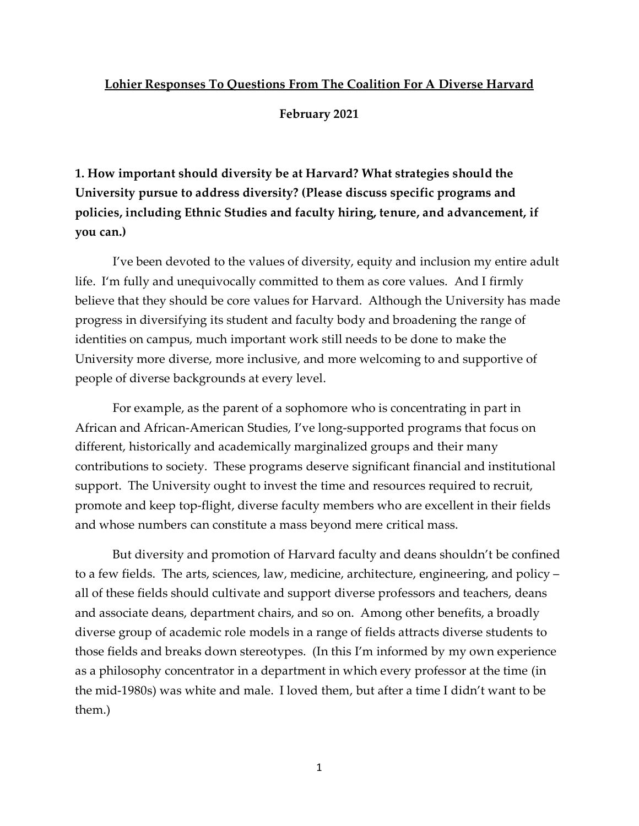## **Lohier Responses To Questions From The Coalition For A Diverse Harvard**

**February 2021**

**1. How important should diversity be at Harvard? What strategies should the University pursue to address diversity? (Please discuss specific programs and policies, including Ethnic Studies and faculty hiring, tenure, and advancement, if you can.)**

I've been devoted to the values of diversity, equity and inclusion my entire adult life. I'm fully and unequivocally committed to them as core values. And I firmly believe that they should be core values for Harvard. Although the University has made progress in diversifying its student and faculty body and broadening the range of identities on campus, much important work still needs to be done to make the University more diverse, more inclusive, and more welcoming to and supportive of people of diverse backgrounds at every level.

For example, as the parent of a sophomore who is concentrating in part in African and African-American Studies, I've long-supported programs that focus on different, historically and academically marginalized groups and their many contributions to society. These programs deserve significant financial and institutional support. The University ought to invest the time and resources required to recruit, promote and keep top-flight, diverse faculty members who are excellent in their fields and whose numbers can constitute a mass beyond mere critical mass.

But diversity and promotion of Harvard faculty and deans shouldn't be confined to a few fields. The arts, sciences, law, medicine, architecture, engineering, and policy – all of these fields should cultivate and support diverse professors and teachers, deans and associate deans, department chairs, and so on. Among other benefits, a broadly diverse group of academic role models in a range of fields attracts diverse students to those fields and breaks down stereotypes. (In this I'm informed by my own experience as a philosophy concentrator in a department in which every professor at the time (in the mid-1980s) was white and male. I loved them, but after a time I didn't want to be them.)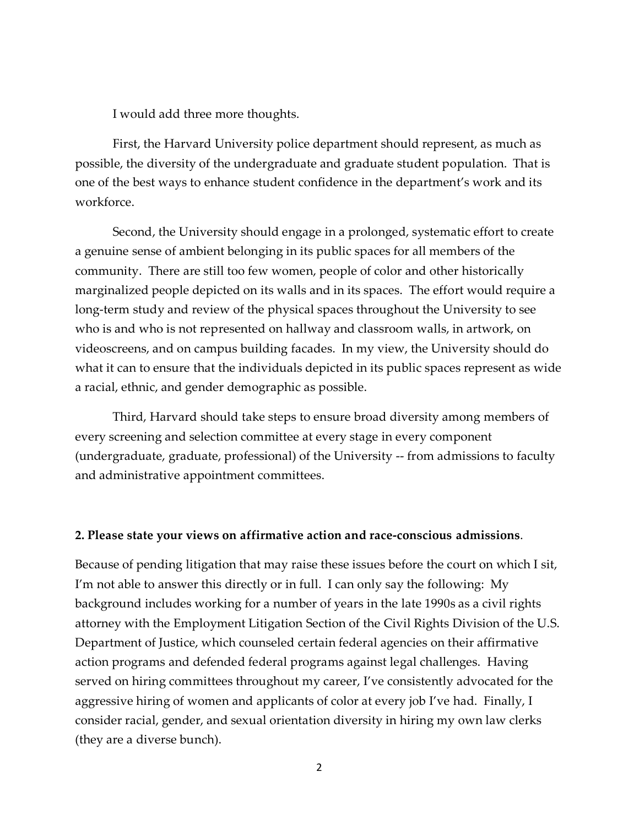I would add three more thoughts.

First, the Harvard University police department should represent, as much as possible, the diversity of the undergraduate and graduate student population. That is one of the best ways to enhance student confidence in the department's work and its workforce.

Second, the University should engage in a prolonged, systematic effort to create a genuine sense of ambient belonging in its public spaces for all members of the community. There are still too few women, people of color and other historically marginalized people depicted on its walls and in its spaces. The effort would require a long-term study and review of the physical spaces throughout the University to see who is and who is not represented on hallway and classroom walls, in artwork, on videoscreens, and on campus building facades. In my view, the University should do what it can to ensure that the individuals depicted in its public spaces represent as wide a racial, ethnic, and gender demographic as possible.

Third, Harvard should take steps to ensure broad diversity among members of every screening and selection committee at every stage in every component (undergraduate, graduate, professional) of the University -- from admissions to faculty and administrative appointment committees.

## **2. Please state your views on affirmative action and race-conscious admissions**.

Because of pending litigation that may raise these issues before the court on which I sit, I'm not able to answer this directly or in full. I can only say the following: My background includes working for a number of years in the late 1990s as a civil rights attorney with the Employment Litigation Section of the Civil Rights Division of the U.S. Department of Justice, which counseled certain federal agencies on their affirmative action programs and defended federal programs against legal challenges. Having served on hiring committees throughout my career, I've consistently advocated for the aggressive hiring of women and applicants of color at every job I've had. Finally, I consider racial, gender, and sexual orientation diversity in hiring my own law clerks (they are a diverse bunch).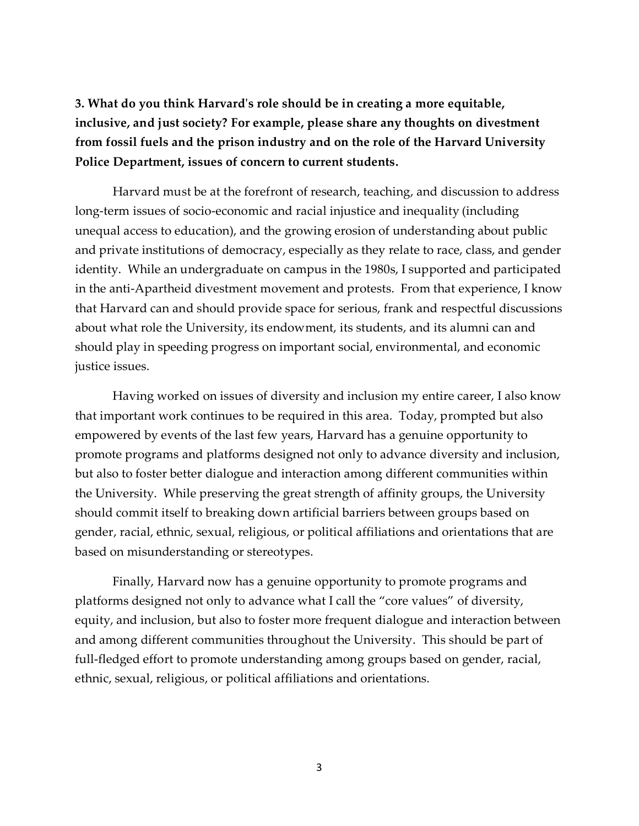**3. What do you think Harvard's role should be in creating a more equitable, inclusive, and just society? For example, please share any thoughts on divestment from fossil fuels and the prison industry and on the role of the Harvard University Police Department, issues of concern to current students.**

Harvard must be at the forefront of research, teaching, and discussion to address long-term issues of socio-economic and racial injustice and inequality (including unequal access to education), and the growing erosion of understanding about public and private institutions of democracy, especially as they relate to race, class, and gender identity. While an undergraduate on campus in the 1980s, I supported and participated in the anti-Apartheid divestment movement and protests. From that experience, I know that Harvard can and should provide space for serious, frank and respectful discussions about what role the University, its endowment, its students, and its alumni can and should play in speeding progress on important social, environmental, and economic justice issues.

Having worked on issues of diversity and inclusion my entire career, I also know that important work continues to be required in this area. Today, prompted but also empowered by events of the last few years, Harvard has a genuine opportunity to promote programs and platforms designed not only to advance diversity and inclusion, but also to foster better dialogue and interaction among different communities within the University. While preserving the great strength of affinity groups, the University should commit itself to breaking down artificial barriers between groups based on gender, racial, ethnic, sexual, religious, or political affiliations and orientations that are based on misunderstanding or stereotypes.

Finally, Harvard now has a genuine opportunity to promote programs and platforms designed not only to advance what I call the "core values" of diversity, equity, and inclusion, but also to foster more frequent dialogue and interaction between and among different communities throughout the University. This should be part of full-fledged effort to promote understanding among groups based on gender, racial, ethnic, sexual, religious, or political affiliations and orientations.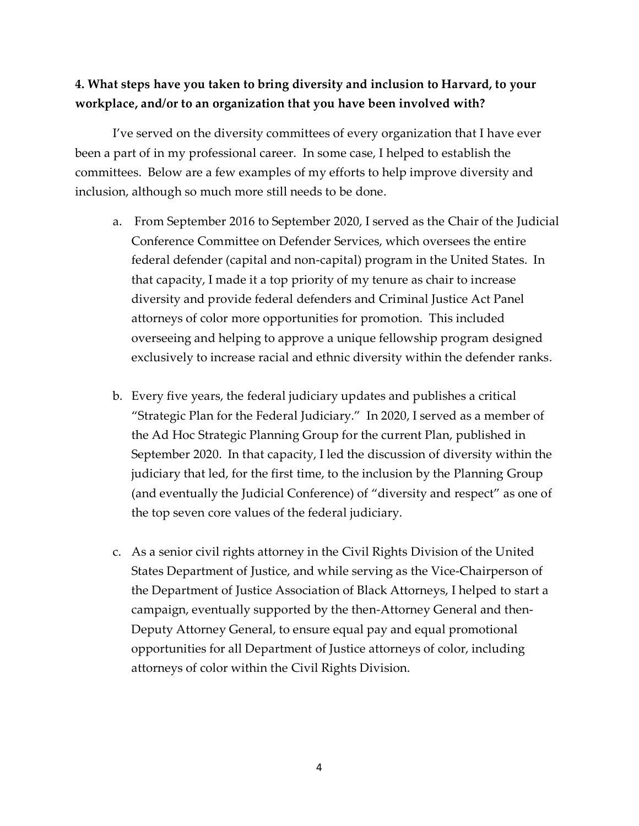## **4. What steps have you taken to bring diversity and inclusion to Harvard, to your workplace, and/or to an organization that you have been involved with?**

I've served on the diversity committees of every organization that I have ever been a part of in my professional career. In some case, I helped to establish the committees. Below are a few examples of my efforts to help improve diversity and inclusion, although so much more still needs to be done.

- a. From September 2016 to September 2020, I served as the Chair of the Judicial Conference Committee on Defender Services, which oversees the entire federal defender (capital and non-capital) program in the United States. In that capacity, I made it a top priority of my tenure as chair to increase diversity and provide federal defenders and Criminal Justice Act Panel attorneys of color more opportunities for promotion. This included overseeing and helping to approve a unique fellowship program designed exclusively to increase racial and ethnic diversity within the defender ranks.
- b. Every five years, the federal judiciary updates and publishes a critical "Strategic Plan for the Federal Judiciary." In 2020, I served as a member of the Ad Hoc Strategic Planning Group for the current Plan, published in September 2020. In that capacity, I led the discussion of diversity within the judiciary that led, for the first time, to the inclusion by the Planning Group (and eventually the Judicial Conference) of "diversity and respect" as one of the top seven core values of the federal judiciary.
- c. As a senior civil rights attorney in the Civil Rights Division of the United States Department of Justice, and while serving as the Vice-Chairperson of the Department of Justice Association of Black Attorneys, I helped to start a campaign, eventually supported by the then-Attorney General and then-Deputy Attorney General, to ensure equal pay and equal promotional opportunities for all Department of Justice attorneys of color, including attorneys of color within the Civil Rights Division.